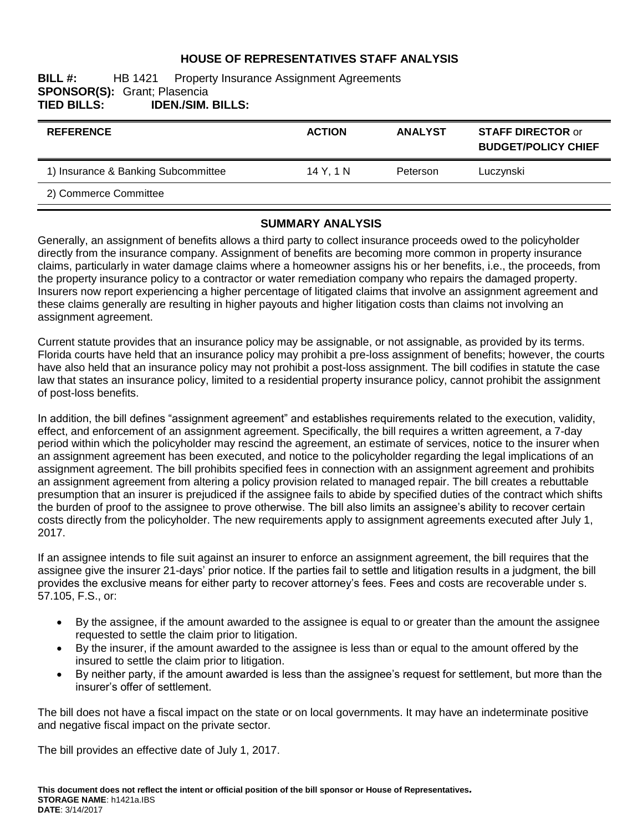# **HOUSE OF REPRESENTATIVES STAFF ANALYSIS**

#### **BILL #:** HB 1421 Property Insurance Assignment Agreements **SPONSOR(S):** Grant; Plasencia<br>**TIED BILLS: IDEN./SIM. TIED BILLS: IDEN./SIM. BILLS:**

| <b>REFERENCE</b>                    | <b>ACTION</b> | <b>ANALYST</b> | <b>STAFF DIRECTOR or</b><br><b>BUDGET/POLICY CHIEF</b> |
|-------------------------------------|---------------|----------------|--------------------------------------------------------|
| 1) Insurance & Banking Subcommittee | 14 Y. 1 N     | Peterson       | Luczynski                                              |
|                                     |               |                |                                                        |

#### **SUMMARY ANALYSIS**

Generally, an assignment of benefits allows a third party to collect insurance proceeds owed to the policyholder directly from the insurance company. Assignment of benefits are becoming more common in property insurance claims, particularly in water damage claims where a homeowner assigns his or her benefits, i.e., the proceeds, from the property insurance policy to a contractor or water remediation company who repairs the damaged property. Insurers now report experiencing a higher percentage of litigated claims that involve an assignment agreement and these claims generally are resulting in higher payouts and higher litigation costs than claims not involving an assignment agreement.

Current statute provides that an insurance policy may be assignable, or not assignable, as provided by its terms. Florida courts have held that an insurance policy may prohibit a pre-loss assignment of benefits; however, the courts have also held that an insurance policy may not prohibit a post-loss assignment. The bill codifies in statute the case law that states an insurance policy, limited to a residential property insurance policy, cannot prohibit the assignment of post-loss benefits.

In addition, the bill defines "assignment agreement" and establishes requirements related to the execution, validity, effect, and enforcement of an assignment agreement. Specifically, the bill requires a written agreement, a 7-day period within which the policyholder may rescind the agreement, an estimate of services, notice to the insurer when an assignment agreement has been executed, and notice to the policyholder regarding the legal implications of an assignment agreement. The bill prohibits specified fees in connection with an assignment agreement and prohibits an assignment agreement from altering a policy provision related to managed repair. The bill creates a rebuttable presumption that an insurer is prejudiced if the assignee fails to abide by specified duties of the contract which shifts the burden of proof to the assignee to prove otherwise. The bill also limits an assignee's ability to recover certain costs directly from the policyholder. The new requirements apply to assignment agreements executed after July 1, 2017.

If an assignee intends to file suit against an insurer to enforce an assignment agreement, the bill requires that the assignee give the insurer 21-days' prior notice. If the parties fail to settle and litigation results in a judgment, the bill provides the exclusive means for either party to recover attorney's fees. Fees and costs are recoverable under s. 57.105, F.S., or:

- By the assignee, if the amount awarded to the assignee is equal to or greater than the amount the assignee requested to settle the claim prior to litigation.
- By the insurer, if the amount awarded to the assignee is less than or equal to the amount offered by the insured to settle the claim prior to litigation.
- By neither party, if the amount awarded is less than the assignee's request for settlement, but more than the insurer's offer of settlement.

The bill does not have a fiscal impact on the state or on local governments. It may have an indeterminate positive and negative fiscal impact on the private sector.

The bill provides an effective date of July 1, 2017.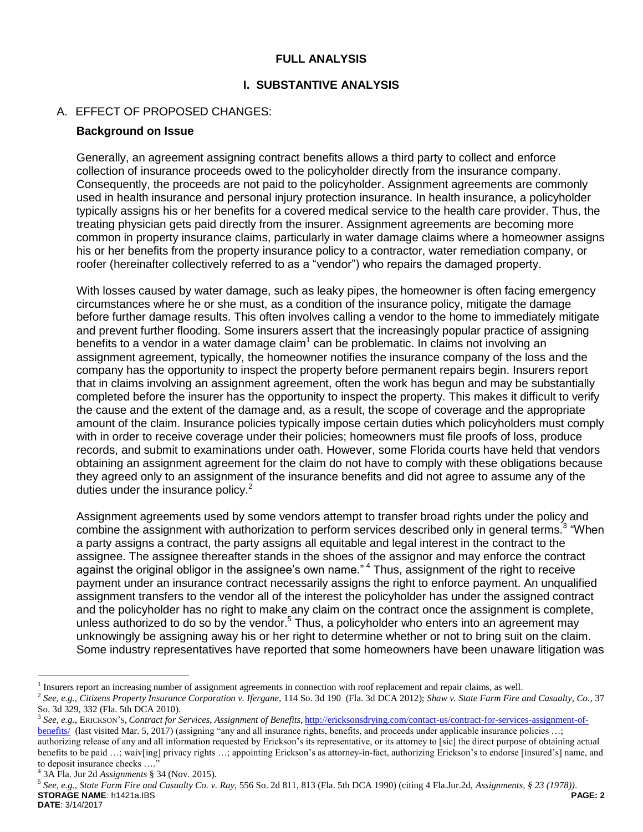### **FULL ANALYSIS**

#### **I. SUBSTANTIVE ANALYSIS**

#### A. EFFECT OF PROPOSED CHANGES:

#### **Background on Issue**

Generally, an agreement assigning contract benefits allows a third party to collect and enforce collection of insurance proceeds owed to the policyholder directly from the insurance company. Consequently, the proceeds are not paid to the policyholder. Assignment agreements are commonly used in health insurance and personal injury protection insurance. In health insurance, a policyholder typically assigns his or her benefits for a covered medical service to the health care provider. Thus, the treating physician gets paid directly from the insurer. Assignment agreements are becoming more common in property insurance claims, particularly in water damage claims where a homeowner assigns his or her benefits from the property insurance policy to a contractor, water remediation company, or roofer (hereinafter collectively referred to as a "vendor") who repairs the damaged property.

With losses caused by water damage, such as leaky pipes, the homeowner is often facing emergency circumstances where he or she must, as a condition of the insurance policy, mitigate the damage before further damage results. This often involves calling a vendor to the home to immediately mitigate and prevent further flooding. Some insurers assert that the increasingly popular practice of assigning benefits to a vendor in a water damage claim $1$  can be problematic. In claims not involving an assignment agreement, typically, the homeowner notifies the insurance company of the loss and the company has the opportunity to inspect the property before permanent repairs begin. Insurers report that in claims involving an assignment agreement, often the work has begun and may be substantially completed before the insurer has the opportunity to inspect the property. This makes it difficult to verify the cause and the extent of the damage and, as a result, the scope of coverage and the appropriate amount of the claim. Insurance policies typically impose certain duties which policyholders must comply with in order to receive coverage under their policies; homeowners must file proofs of loss, produce records, and submit to examinations under oath. However, some Florida courts have held that vendors obtaining an assignment agreement for the claim do not have to comply with these obligations because they agreed only to an assignment of the insurance benefits and did not agree to assume any of the duties under the insurance policy.<sup>2</sup>

Assignment agreements used by some vendors attempt to transfer broad rights under the policy and combine the assignment with authorization to perform services described only in general terms.<sup>3</sup> "When a party assigns a contract, the party assigns all equitable and legal interest in the contract to the assignee. The assignee thereafter stands in the shoes of the assignor and may enforce the contract against the original obligor in the assignee's own name." <sup>4</sup> Thus, assignment of the right to receive payment under an insurance contract necessarily assigns the right to enforce payment. An unqualified assignment transfers to the vendor all of the interest the policyholder has under the assigned contract and the policyholder has no right to make any claim on the contract once the assignment is complete, unless authorized to do so by the vendor.<sup>5</sup> Thus, a policyholder who enters into an agreement may unknowingly be assigning away his or her right to determine whether or not to bring suit on the claim. Some industry representatives have reported that some homeowners have been unaware litigation was

 $\overline{a}$ 

<sup>&</sup>lt;sup>1</sup> Insurers report an increasing number of assignment agreements in connection with roof replacement and repair claims, as well.

<sup>2</sup> *See, e.g., Citizens Property Insurance Corporation v. Ifergane,* 114 So. 3d 190 (Fla. 3d DCA 2012); *Shaw v. State Farm Fire and Casualty, Co.,* 37 So. 3d 329, 332 (Fla. 5th DCA 2010).

<sup>3</sup> *See, e.g.*, ERICKSON'S, *Contract for Services, Assignment of Benefits*, [http://ericksonsdrying.com/contact-us/contract-for-services-assignment-of](http://ericksonsdrying.com/contact-us/contract-for-services-assignment-of-benefits/)[benefits/](http://ericksonsdrying.com/contact-us/contract-for-services-assignment-of-benefits/) (last visited Mar. 5, 2017) (assigning "any and all insurance rights, benefits, and proceeds under applicable insurance policies ...; authorizing release of any and all information requested by Erickson's its representative, or its attorney to [sic] the direct purpose of obtaining actual benefits to be paid ...; waiv[ing] privacy rights ...; appointing Erickson's as attorney-in-fact, authorizing Erickson's to endorse [insured's] name, and to deposit insurance checks ....

<sup>4</sup> 3A Fla. Jur 2d *Assignments* § 34 (Nov. 2015).

**STORAGE NAME**: h1421a.IBS **PAGE: 2 DATE**: 3/14/2017 5 *See, e.g., State Farm Fire and Casualty Co. v. Ray,* 556 So. 2d 811, 813 (Fla. 5th DCA 1990) (citing 4 Fla.Jur.2d, *Assignments, § 23 (1978))*.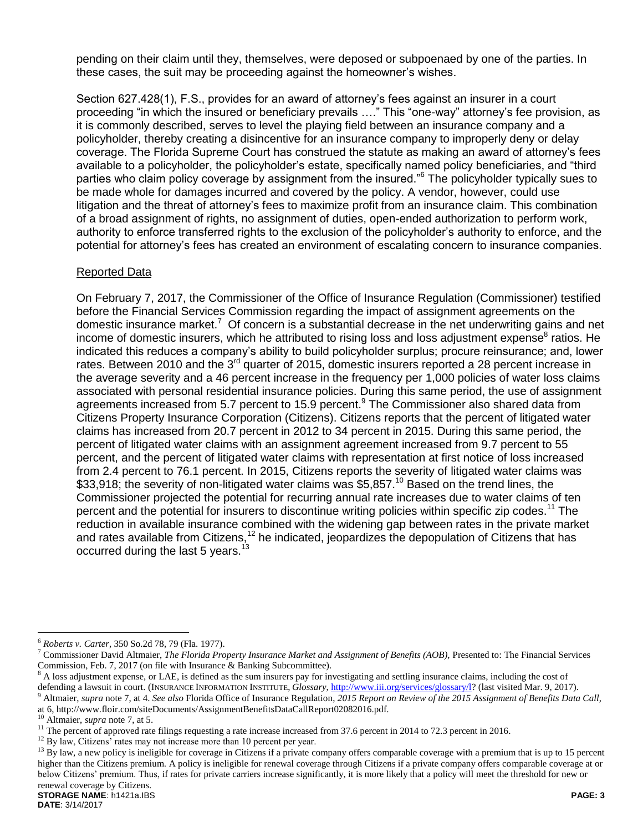pending on their claim until they, themselves, were deposed or subpoenaed by one of the parties. In these cases, the suit may be proceeding against the homeowner's wishes.

Section 627.428(1), F.S., provides for an award of attorney's fees against an insurer in a court proceeding "in which the insured or beneficiary prevails …." This "one-way" attorney's fee provision, as it is commonly described, serves to level the playing field between an insurance company and a policyholder, thereby creating a disincentive for an insurance company to improperly deny or delay coverage. The Florida Supreme Court has construed the statute as making an award of attorney's fees available to a policyholder, the policyholder's estate, specifically named policy beneficiaries, and "third parties who claim policy coverage by assignment from the insured."<sup>6</sup> The policyholder typically sues to be made whole for damages incurred and covered by the policy. A vendor, however, could use litigation and the threat of attorney's fees to maximize profit from an insurance claim. This combination of a broad assignment of rights, no assignment of duties, open-ended authorization to perform work, authority to enforce transferred rights to the exclusion of the policyholder's authority to enforce, and the potential for attorney's fees has created an environment of escalating concern to insurance companies.

#### Reported Data

On February 7, 2017, the Commissioner of the Office of Insurance Regulation (Commissioner) testified before the Financial Services Commission regarding the impact of assignment agreements on the domestic insurance market.<sup>7</sup> Of concern is a substantial decrease in the net underwriting gains and net income of domestic insurers, which he attributed to rising loss and loss adjustment expense<sup>8</sup> ratios. He indicated this reduces a company's ability to build policyholder surplus; procure reinsurance; and, lower rates. Between 2010 and the 3<sup>rd</sup> quarter of 2015, domestic insurers reported a 28 percent increase in the average severity and a 46 percent increase in the frequency per 1,000 policies of water loss claims associated with personal residential insurance policies. During this same period, the use of assignment agreements increased from 5.7 percent to 15.9 percent.<sup>9</sup> The Commissioner also shared data from Citizens Property Insurance Corporation (Citizens). Citizens reports that the percent of litigated water claims has increased from 20.7 percent in 2012 to 34 percent in 2015. During this same period, the percent of litigated water claims with an assignment agreement increased from 9.7 percent to 55 percent, and the percent of litigated water claims with representation at first notice of loss increased from 2.4 percent to 76.1 percent. In 2015, Citizens reports the severity of litigated water claims was \$33,918; the severity of non-litigated water claims was \$5,857.<sup>10</sup> Based on the trend lines, the Commissioner projected the potential for recurring annual rate increases due to water claims of ten percent and the potential for insurers to discontinue writing policies within specific zip codes.<sup>11</sup> The reduction in available insurance combined with the widening gap between rates in the private market and rates available from Citizens,<sup>12</sup> he indicated, jeopardizes the depopulation of Citizens that has occurred during the last 5 years.<sup>13</sup>

 $\overline{a}$ 

<sup>6</sup> *Roberts v. Carter,* 350 So.2d 78, 79 (Fla. 1977).

<sup>7</sup> Commissioner David Altmaier, *The Florida Property Insurance Market and Assignment of Benefits (AOB),* Presented to: The Financial Services Commission, Feb. 7, 2017 (on file with Insurance & Banking Subcommittee).

<sup>8</sup> A loss adjustment expense, or LAE, is defined as the sum insurers pay for investigating and settling insurance claims, including the cost of defending a lawsuit in court. (INSURANCE INFORMATION INSTITUTE, *Glossary*[, http://www.iii.org/services/glossary/l?](http://www.iii.org/services/glossary/l) (last visited Mar. 9, 2017).

<sup>9</sup> Altmaier, *supra* note 7, at 4. *See also* Florida Office of Insurance Regulation, *2015 Report on Review of the 2015 Assignment of Benefits Data Call,* at 6, http://www.floir.com/siteDocuments/AssignmentBenefitsDataCallReport02082016.pdf.

<sup>10</sup> Altmaier, *supra* note 7, at 5.

<sup>&</sup>lt;sup>11</sup> The percent of approved rate filings requesting a rate increase increased from 37.6 percent in 2014 to 72.3 percent in 2016.

<sup>&</sup>lt;sup>12</sup> By law, Citizens' rates may not increase more than 10 percent per year.

 $^{13}$  By law, a new policy is ineligible for coverage in Citizens if a private company offers comparable coverage with a premium that is up to 15 percent higher than the Citizens premium. A policy is ineligible for renewal coverage through Citizens if a private company offers comparable coverage at or below Citizens' premium. Thus, if rates for private carriers increase significantly, it is more likely that a policy will meet the threshold for new or renewal coverage by Citizens.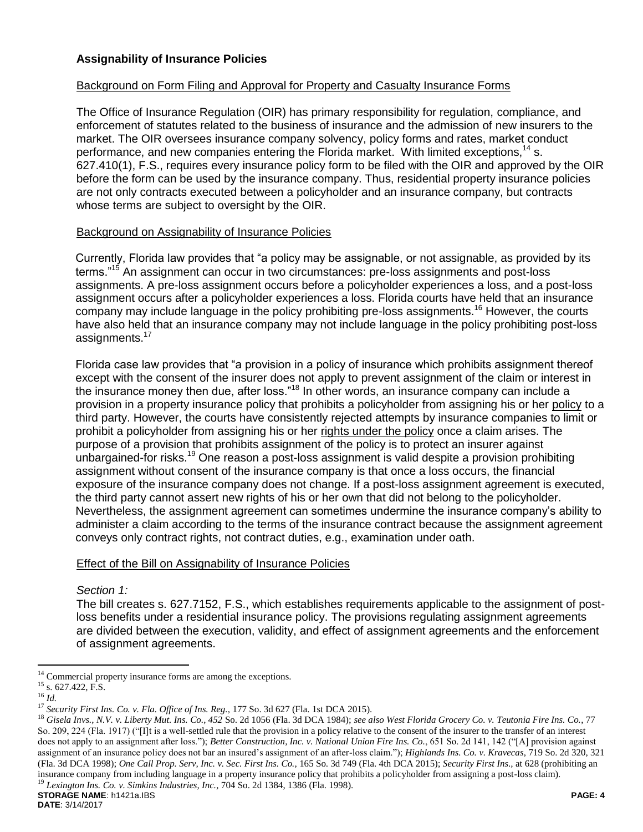## **Assignability of Insurance Policies**

#### Background on Form Filing and Approval for Property and Casualty Insurance Forms

The Office of Insurance Regulation (OIR) has primary responsibility for regulation, compliance, and enforcement of statutes related to the business of insurance and the admission of new insurers to the market. The OIR oversees insurance company solvency, policy forms and rates, market conduct performance, and new companies entering the Florida market. With limited exceptions.<sup>14</sup> s. 627.410(1), F.S., requires every insurance policy form to be filed with the OIR and approved by the OIR before the form can be used by the insurance company. Thus, residential property insurance policies are not only contracts executed between a policyholder and an insurance company, but contracts whose terms are subject to oversight by the OIR.

#### Background on Assignability of Insurance Policies

Currently, Florida law provides that "a policy may be assignable, or not assignable, as provided by its terms."<sup>15</sup> An assignment can occur in two circumstances: pre-loss assignments and post-loss assignments. A pre-loss assignment occurs before a policyholder experiences a loss, and a post-loss assignment occurs after a policyholder experiences a loss. Florida courts have held that an insurance company may include language in the policy prohibiting pre-loss assignments.<sup>16</sup> However, the courts have also held that an insurance company may not include language in the policy prohibiting post-loss assignments.<sup>17</sup>

Florida case law provides that "a provision in a policy of insurance which prohibits assignment thereof except with the consent of the insurer does not apply to prevent assignment of the claim or interest in the insurance money then due, after loss."<sup>18</sup> In other words, an insurance company can include a provision in a property insurance policy that prohibits a policyholder from assigning his or her policy to a third party. However, the courts have consistently rejected attempts by insurance companies to limit or prohibit a policyholder from assigning his or her rights under the policy once a claim arises. The purpose of a provision that prohibits assignment of the policy is to protect an insurer against unbargained-for risks.<sup>19</sup> One reason a post-loss assignment is valid despite a provision prohibiting assignment without consent of the insurance company is that once a loss occurs, the financial exposure of the insurance company does not change. If a post-loss assignment agreement is executed, the third party cannot assert new rights of his or her own that did not belong to the policyholder. Nevertheless, the assignment agreement can sometimes undermine the insurance company's ability to administer a claim according to the terms of the insurance contract because the assignment agreement conveys only contract rights, not contract duties, e.g., examination under oath.

#### Effect of the Bill on Assignability of Insurance Policies

*Section 1:*

The bill creates s. 627.7152, F.S., which establishes requirements applicable to the assignment of postloss benefits under a residential insurance policy. The provisions regulating assignment agreements are divided between the execution, validity, and effect of assignment agreements and the enforcement of assignment agreements.

 $\overline{a}$ 

 $14$  Commercial property insurance forms are among the exceptions.

 $15$  s. 627.422, F.S.

<sup>16</sup> *Id.*

<sup>17</sup> *Security First Ins. Co. v. Fla. Office of Ins. Reg.,* 177 So. 3d 627 (Fla. 1st DCA 2015).

**STORAGE NAME**: h1421a.IBS **PAGE: 4** <sup>18</sup> *Gisela Invs., N.V. v. Liberty Mut. Ins. Co., 452* So. 2d 1056 (Fla. 3d DCA 1984); *see also West Florida Grocery Co. v. Teutonia Fire Ins. Co.*, 77 So. 209, 224 (Fla. 1917) ("[I]t is a well-settled rule that the provision in a policy relative to the consent of the insurer to the transfer of an interest does not apply to an assignment after loss."); *Better Construction, Inc. v. National Union Fire Ins. Co.*, 651 So. 2d 141, 142 ("[A] provision against assignment of an insurance policy does not bar an insured's assignment of an after-loss claim."); *Highlands Ins. Co. v. Kravecas*, 719 So. 2d 320, 321 (Fla. 3d DCA 1998); *One Call Prop. Serv, Inc. v. Sec. First Ins. Co.,* 165 So. 3d 749 (Fla. 4th DCA 2015); *Security First Ins.,* at 628 (prohibiting an insurance company from including language in a property insurance policy that prohibits a policyholder from assigning a post-loss claim). <sup>19</sup> *Lexington Ins. Co. v. Simkins Industries, Inc.,* 704 So. 2d 1384, 1386 (Fla. 1998).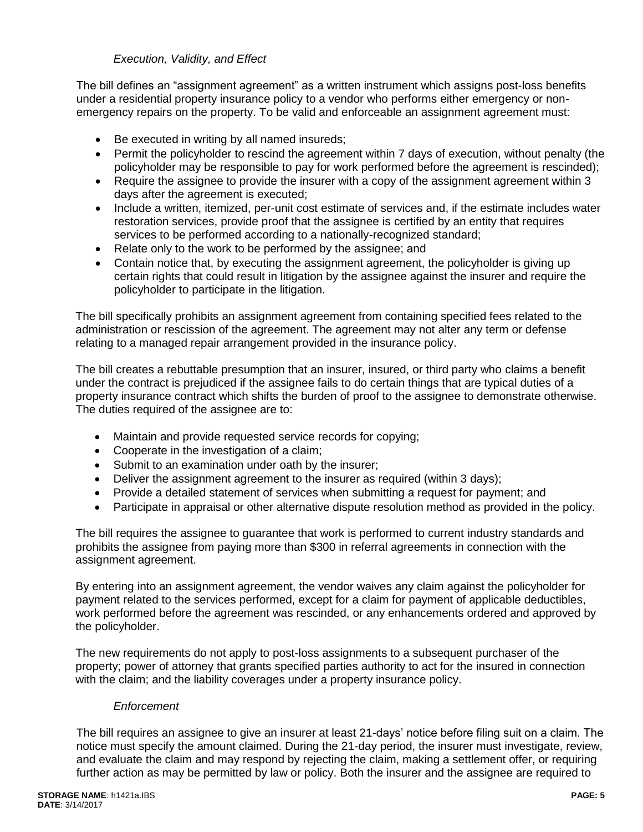# *Execution, Validity, and Effect*

The bill defines an "assignment agreement" as a written instrument which assigns post-loss benefits under a residential property insurance policy to a vendor who performs either emergency or nonemergency repairs on the property. To be valid and enforceable an assignment agreement must:

- Be executed in writing by all named insureds;
- Permit the policyholder to rescind the agreement within 7 days of execution, without penalty (the policyholder may be responsible to pay for work performed before the agreement is rescinded);
- Require the assignee to provide the insurer with a copy of the assignment agreement within 3 days after the agreement is executed;
- Include a written, itemized, per-unit cost estimate of services and, if the estimate includes water restoration services, provide proof that the assignee is certified by an entity that requires services to be performed according to a nationally-recognized standard;
- Relate only to the work to be performed by the assignee; and
- Contain notice that, by executing the assignment agreement, the policyholder is giving up certain rights that could result in litigation by the assignee against the insurer and require the policyholder to participate in the litigation.

The bill specifically prohibits an assignment agreement from containing specified fees related to the administration or rescission of the agreement. The agreement may not alter any term or defense relating to a managed repair arrangement provided in the insurance policy.

The bill creates a rebuttable presumption that an insurer, insured, or third party who claims a benefit under the contract is prejudiced if the assignee fails to do certain things that are typical duties of a property insurance contract which shifts the burden of proof to the assignee to demonstrate otherwise. The duties required of the assignee are to:

- Maintain and provide requested service records for copying;
- Cooperate in the investigation of a claim;
- Submit to an examination under oath by the insurer;
- Deliver the assignment agreement to the insurer as required (within 3 days);
- Provide a detailed statement of services when submitting a request for payment; and
- Participate in appraisal or other alternative dispute resolution method as provided in the policy.

The bill requires the assignee to guarantee that work is performed to current industry standards and prohibits the assignee from paying more than \$300 in referral agreements in connection with the assignment agreement.

By entering into an assignment agreement, the vendor waives any claim against the policyholder for payment related to the services performed, except for a claim for payment of applicable deductibles, work performed before the agreement was rescinded, or any enhancements ordered and approved by the policyholder.

The new requirements do not apply to post-loss assignments to a subsequent purchaser of the property; power of attorney that grants specified parties authority to act for the insured in connection with the claim; and the liability coverages under a property insurance policy.

## *Enforcement*

The bill requires an assignee to give an insurer at least 21-days' notice before filing suit on a claim. The notice must specify the amount claimed. During the 21-day period, the insurer must investigate, review, and evaluate the claim and may respond by rejecting the claim, making a settlement offer, or requiring further action as may be permitted by law or policy. Both the insurer and the assignee are required to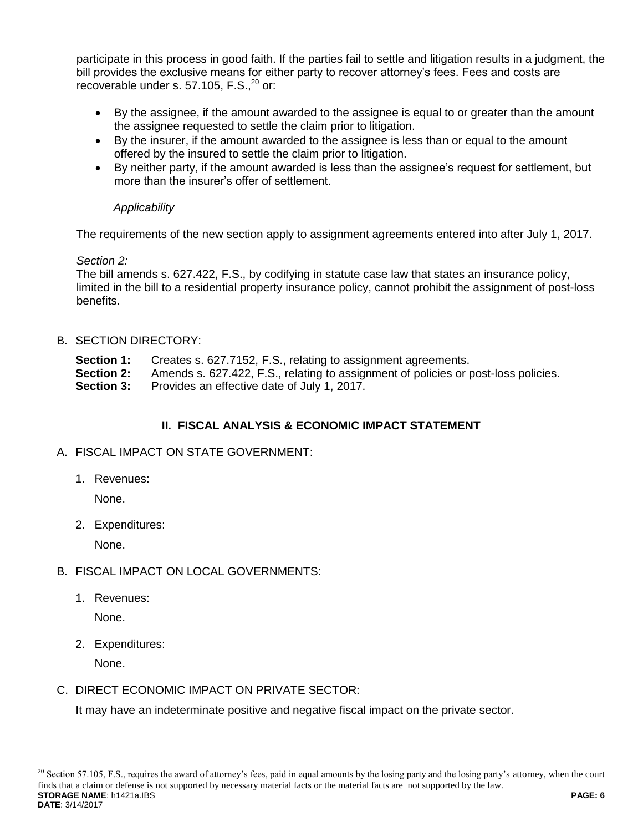participate in this process in good faith. If the parties fail to settle and litigation results in a judgment, the bill provides the exclusive means for either party to recover attorney's fees. Fees and costs are recoverable under s.  $57.105$ , F.S., $^{20}$  or:

- By the assignee, if the amount awarded to the assignee is equal to or greater than the amount the assignee requested to settle the claim prior to litigation.
- By the insurer, if the amount awarded to the assignee is less than or equal to the amount offered by the insured to settle the claim prior to litigation.
- By neither party, if the amount awarded is less than the assignee's request for settlement, but more than the insurer's offer of settlement.

# *Applicability*

The requirements of the new section apply to assignment agreements entered into after July 1, 2017.

# *Section 2:*

The bill amends s. 627.422, F.S., by codifying in statute case law that states an insurance policy, limited in the bill to a residential property insurance policy, cannot prohibit the assignment of post-loss benefits.

# B. SECTION DIRECTORY:

- **Section 1:** Creates s. 627.7152, F.S., relating to assignment agreements.
- **Section 2:** Amends s. 627.422, F.S., relating to assignment of policies or post-loss policies.
- **Section 3:** Provides an effective date of July 1, 2017.

# **II. FISCAL ANALYSIS & ECONOMIC IMPACT STATEMENT**

## A. FISCAL IMPACT ON STATE GOVERNMENT:

1. Revenues:

None.

2. Expenditures:

None.

- B. FISCAL IMPACT ON LOCAL GOVERNMENTS:
	- 1. Revenues:

None.

2. Expenditures:

None.

 $\overline{a}$ 

C. DIRECT ECONOMIC IMPACT ON PRIVATE SECTOR:

It may have an indeterminate positive and negative fiscal impact on the private sector.

**STORAGE NAME**: h1421a.IBS **PAGE: 6 DATE**: 3/14/2017  $^{20}$  Section 57.105, F.S., requires the award of attorney's fees, paid in equal amounts by the losing party and the losing party's attorney, when the court finds that a claim or defense is not supported by necessary material facts or the material facts are not supported by the law.